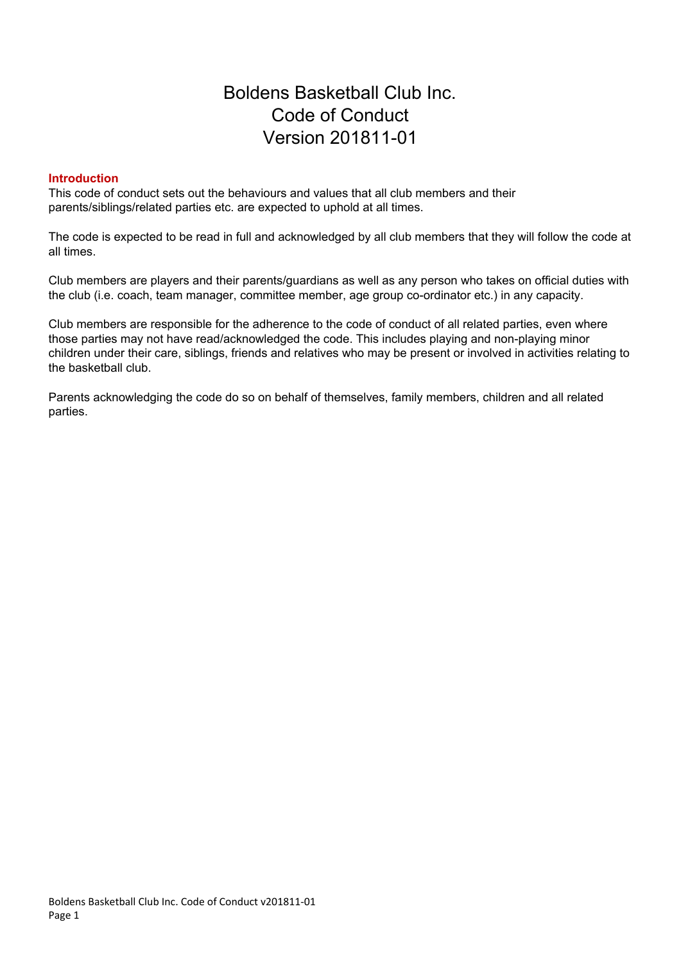# Boldens Basketball Club Inc. Code of Conduct Version 201811-01

### **Introduction**

This code of conduct sets out the behaviours and values that all club members and their parents/siblings/related parties etc. are expected to uphold at all times.

The code is expected to be read in full and acknowledged by all club members that they will follow the code at all times.

Club members are players and their parents/guardians as well as any person who takes on official duties with the club (i.e. coach, team manager, committee member, age group co-ordinator etc.) in any capacity.

Club members are responsible for the adherence to the code of conduct of all related parties, even where those parties may not have read/acknowledged the code. This includes playing and non-playing minor children under their care, siblings, friends and relatives who may be present or involved in activities relating to the basketball club.

Parents acknowledging the code do so on behalf of themselves, family members, children and all related parties.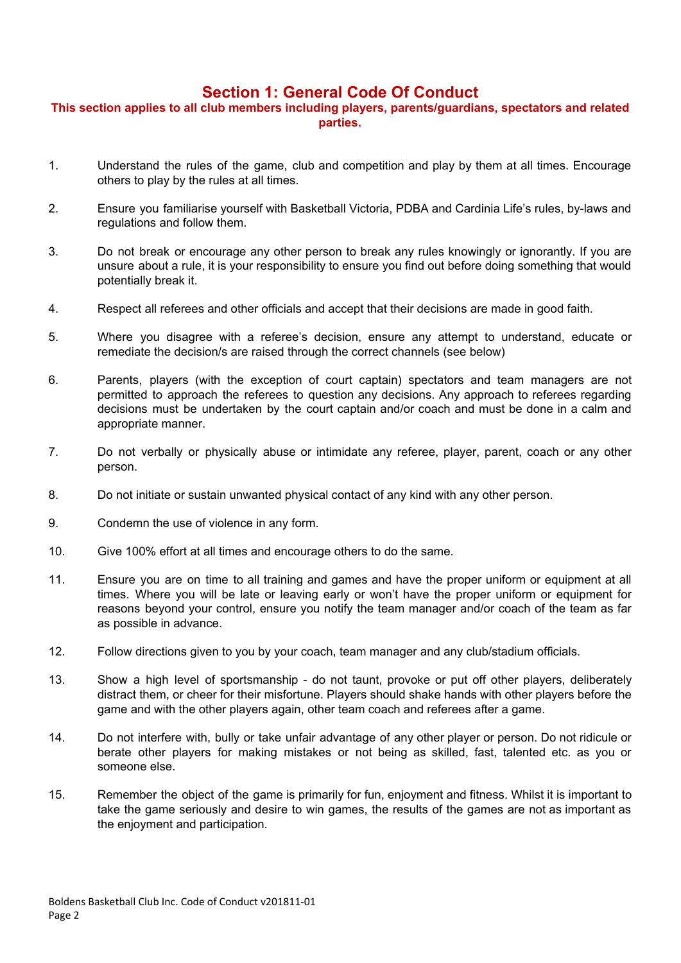### **Section 1: General Code Of Conduct**

### **This section applies to all club members including players, parents/guardians, spectators and related parties.**

- 1. Understand the rules of the game, club and competition and play by them at all times. Encourage others to play by the rules at all times.
- 2. Ensure you familiarise yourself with Basketball Victoria, PDBA and Cardinia Life's rules, by-laws and regulations and follow them.
- 3. Do not break or encourage any other person to break any rules knowingly or ignorantly. If you are unsure about a rule, it is your responsibility to ensure you find out before doing something that would potentially break it.
- 4. Respect all referees and other officials and accept that their decisions are made in good faith.
- 5. Where you disagree with a referee's decision, ensure any attempt to understand, educate or remediate the decision/s are raised through the correct channels (see below)
- 6. Parents, players (with the exception of court captain) spectators and team managers are not permitted to approach the referees to question any decisions. Any approach to referees regarding decisions must be undertaken by the court captain and/or coach and must be done in a calm and appropriate manner.
- 7. Do not verbally or physically abuse or intimidate any referee, player, parent, coach or any other person.
- 8. Do not initiate or sustain unwanted physical contact of any kind with any other person.
- 9. Condemn the use of violence in any form.
- 10. Give 100% effort at all times and encourage others to do the same.
- 11. Ensure you are on time to all training and games and have the proper uniform or equipment at all times. Where you will be late or leaving early or won't have the proper uniform or equipment for reasons beyond your control, ensure you notify the team manager and/or coach of the team as far as possible in advance.
- 12. Follow directions given to you by your coach, team manager and any club/stadium officials.
- 13. Show a high level of sportsmanship do not taunt, provoke or put off other players, deliberately distract them, or cheer for their misfortune. Players should shake hands with other players before the game and with the other players again, other team coach and referees after a game.
- 14. Do not interfere with, bully or take unfair advantage of any other player or person. Do not ridicule or berate other players for making mistakes or not being as skilled, fast, talented etc. as you or someone else.
- 15. Remember the object of the game is primarily for fun, enjoyment and fitness. Whilst it is important to take the game seriously and desire to win games, the results of the games are not as important as the enjoyment and participation.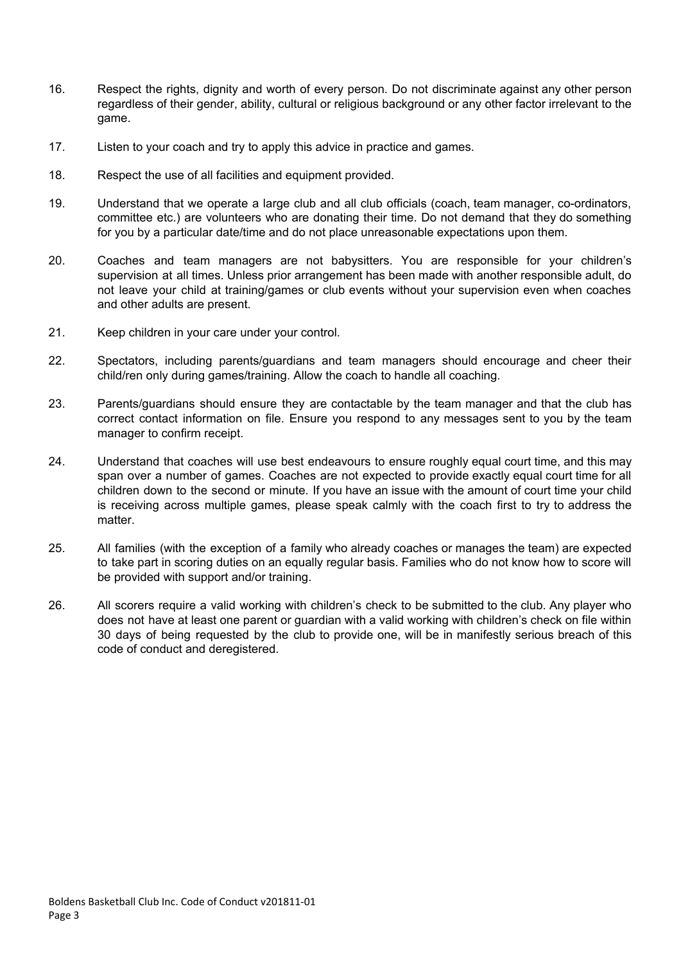- 16. Respect the rights, dignity and worth of every person. Do not discriminate against any other person regardless of their gender, ability, cultural or religious background or any other factor irrelevant to the game.
- 17. Listen to your coach and try to apply this advice in practice and games.
- 18. Respect the use of all facilities and equipment provided.
- 19. Understand that we operate a large club and all club officials (coach, team manager, co-ordinators, committee etc.) are volunteers who are donating their time. Do not demand that they do something for you by a particular date/time and do not place unreasonable expectations upon them.
- 20. Coaches and team managers are not babysitters. You are responsible for your children's supervision at all times. Unless prior arrangement has been made with another responsible adult, do not leave your child at training/games or club events without your supervision even when coaches and other adults are present.
- 21. Keep children in your care under your control.
- 22. Spectators, including parents/guardians and team managers should encourage and cheer their child/ren only during games/training. Allow the coach to handle all coaching.
- 23. Parents/guardians should ensure they are contactable by the team manager and that the club has correct contact information on file. Ensure you respond to any messages sent to you by the team manager to confirm receipt.
- 24. Understand that coaches will use best endeavours to ensure roughly equal court time, and this may span over a number of games. Coaches are not expected to provide exactly equal court time for all children down to the second or minute. If you have an issue with the amount of court time your child is receiving across multiple games, please speak calmly with the coach first to try to address the matter.
- 25. All families (with the exception of a family who already coaches or manages the team) are expected to take part in scoring duties on an equally regular basis. Families who do not know how to score will be provided with support and/or training.
- 26. All scorers require a valid working with children's check to be submitted to the club. Any player who does not have at least one parent or guardian with a valid working with children's check on file within 30 days of being requested by the club to provide one, will be in manifestly serious breach of this code of conduct and deregistered.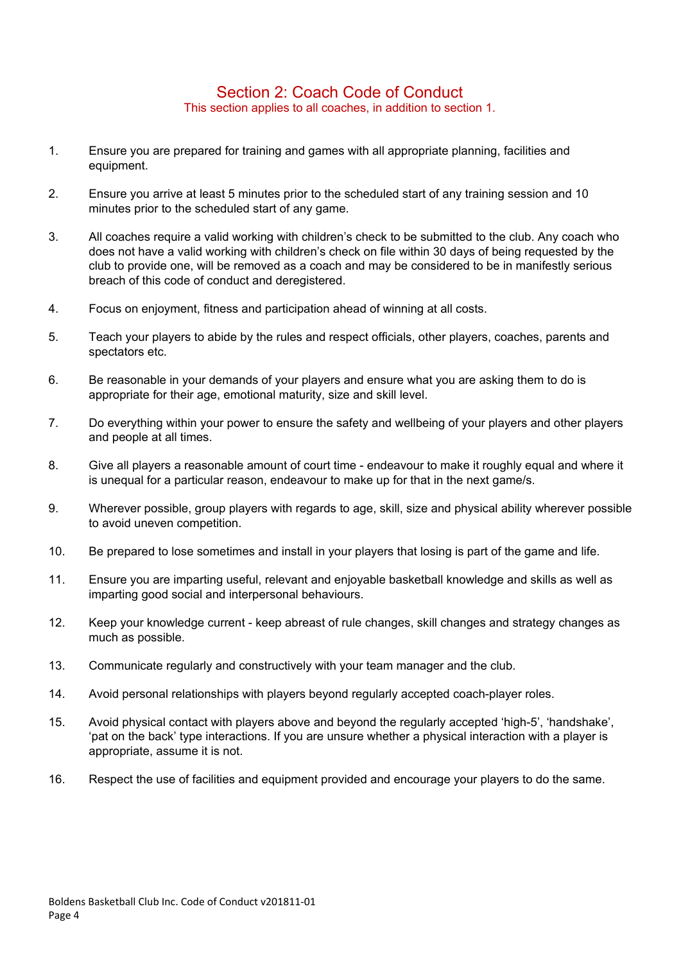### Section 2: Coach Code of Conduct This section applies to all coaches, in addition to section 1.

- 1. Ensure you are prepared for training and games with all appropriate planning, facilities and equipment.
- 2. Ensure you arrive at least 5 minutes prior to the scheduled start of any training session and 10 minutes prior to the scheduled start of any game.
- 3. All coaches require a valid working with children's check to be submitted to the club. Any coach who does not have a valid working with children's check on file within 30 days of being requested by the club to provide one, will be removed as a coach and may be considered to be in manifestly serious breach of this code of conduct and deregistered.
- 4. Focus on enjoyment, fitness and participation ahead of winning at all costs.
- 5. Teach your players to abide by the rules and respect officials, other players, coaches, parents and spectators etc.
- 6. Be reasonable in your demands of your players and ensure what you are asking them to do is appropriate for their age, emotional maturity, size and skill level.
- 7. Do everything within your power to ensure the safety and wellbeing of your players and other players and people at all times.
- 8. Give all players a reasonable amount of court time endeavour to make it roughly equal and where it is unequal for a particular reason, endeavour to make up for that in the next game/s.
- 9. Wherever possible, group players with regards to age, skill, size and physical ability wherever possible to avoid uneven competition.
- 10. Be prepared to lose sometimes and install in your players that losing is part of the game and life.
- 11. Ensure you are imparting useful, relevant and enjoyable basketball knowledge and skills as well as imparting good social and interpersonal behaviours.
- 12. Keep your knowledge current keep abreast of rule changes, skill changes and strategy changes as much as possible.
- 13. Communicate regularly and constructively with your team manager and the club.
- 14. Avoid personal relationships with players beyond regularly accepted coach-player roles.
- 15. Avoid physical contact with players above and beyond the regularly accepted 'high-5', 'handshake', 'pat on the back' type interactions. If you are unsure whether a physical interaction with a player is appropriate, assume it is not.
- 16. Respect the use of facilities and equipment provided and encourage your players to do the same.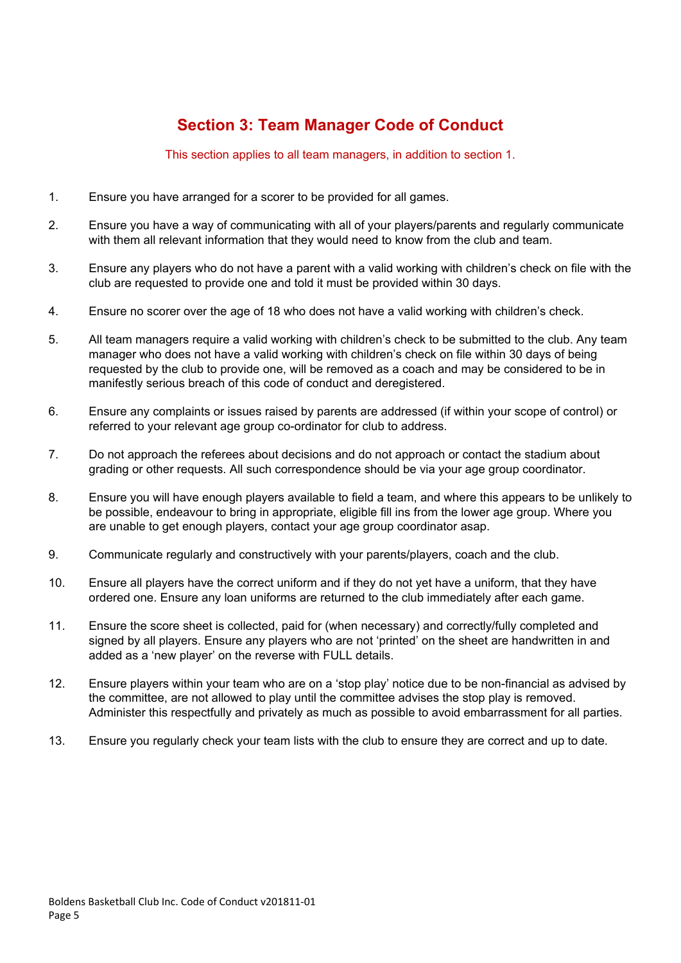# **Section 3: Team Manager Code of Conduct**

This section applies to all team managers, in addition to section 1.

- 1. Ensure you have arranged for a scorer to be provided for all games.
- 2. Ensure you have a way of communicating with all of your players/parents and regularly communicate with them all relevant information that they would need to know from the club and team.
- 3. Ensure any players who do not have a parent with a valid working with children's check on file with the club are requested to provide one and told it must be provided within 30 days.
- 4. Ensure no scorer over the age of 18 who does not have a valid working with children's check.
- 5. All team managers require a valid working with children's check to be submitted to the club. Any team manager who does not have a valid working with children's check on file within 30 days of being requested by the club to provide one, will be removed as a coach and may be considered to be in manifestly serious breach of this code of conduct and deregistered.
- 6. Ensure any complaints or issues raised by parents are addressed (if within your scope of control) or referred to your relevant age group co-ordinator for club to address.
- 7. Do not approach the referees about decisions and do not approach or contact the stadium about grading or other requests. All such correspondence should be via your age group coordinator.
- 8. Ensure you will have enough players available to field a team, and where this appears to be unlikely to be possible, endeavour to bring in appropriate, eligible fill ins from the lower age group. Where you are unable to get enough players, contact your age group coordinator asap.
- 9. Communicate regularly and constructively with your parents/players, coach and the club.
- 10. Ensure all players have the correct uniform and if they do not yet have a uniform, that they have ordered one. Ensure any loan uniforms are returned to the club immediately after each game.
- 11. Ensure the score sheet is collected, paid for (when necessary) and correctly/fully completed and signed by all players. Ensure any players who are not 'printed' on the sheet are handwritten in and added as a 'new player' on the reverse with FULL details.
- 12. Ensure players within your team who are on a 'stop play' notice due to be non-financial as advised by the committee, are not allowed to play until the committee advises the stop play is removed. Administer this respectfully and privately as much as possible to avoid embarrassment for all parties.
- 13. Ensure you regularly check your team lists with the club to ensure they are correct and up to date.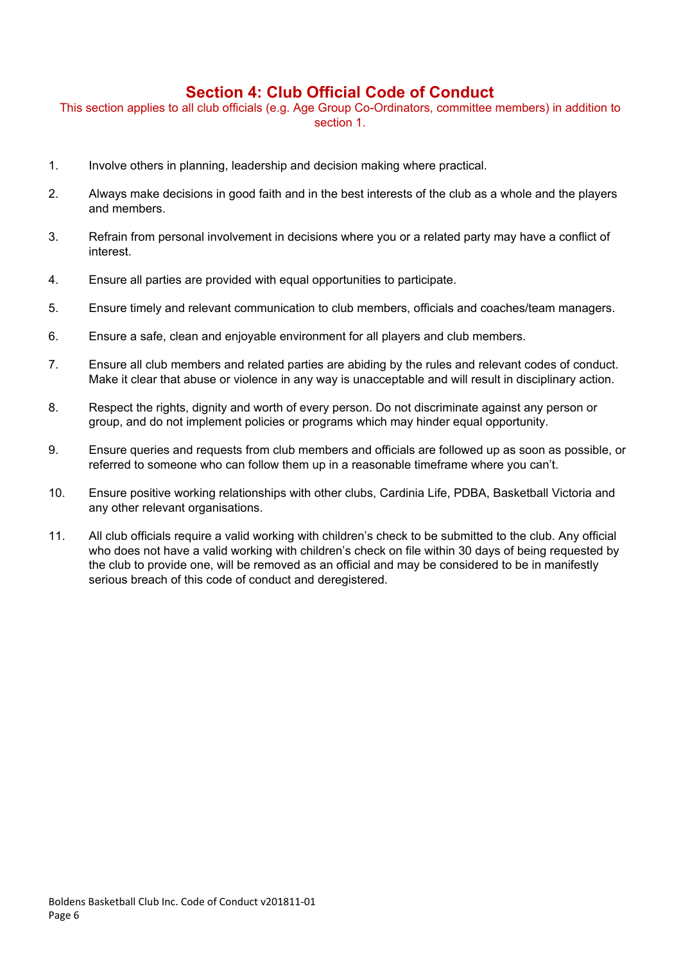### **Section 4: Club Official Code of Conduct**

This section applies to all club officials (e.g. Age Group Co-Ordinators, committee members) in addition to section 1.

- 1. Involve others in planning, leadership and decision making where practical.
- 2. Always make decisions in good faith and in the best interests of the club as a whole and the players and members.
- 3. Refrain from personal involvement in decisions where you or a related party may have a conflict of interest.
- 4. Ensure all parties are provided with equal opportunities to participate.
- 5. Ensure timely and relevant communication to club members, officials and coaches/team managers.
- 6. Ensure a safe, clean and enjoyable environment for all players and club members.
- 7. Ensure all club members and related parties are abiding by the rules and relevant codes of conduct. Make it clear that abuse or violence in any way is unacceptable and will result in disciplinary action.
- 8. Respect the rights, dignity and worth of every person. Do not discriminate against any person or group, and do not implement policies or programs which may hinder equal opportunity.
- 9. Ensure queries and requests from club members and officials are followed up as soon as possible, or referred to someone who can follow them up in a reasonable timeframe where you can't.
- 10. Ensure positive working relationships with other clubs, Cardinia Life, PDBA, Basketball Victoria and any other relevant organisations.
- 11. All club officials require a valid working with children's check to be submitted to the club. Any official who does not have a valid working with children's check on file within 30 days of being requested by the club to provide one, will be removed as an official and may be considered to be in manifestly serious breach of this code of conduct and deregistered.